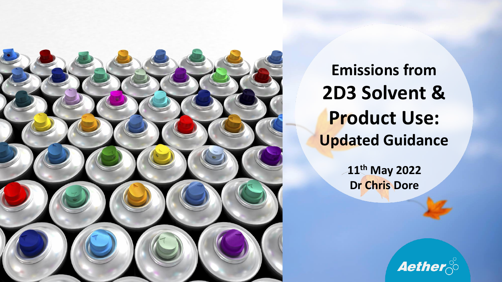

**Emissions from 2D3 Solvent & Product Use: Updated Guidance**

> **11th May 2022 Dr Chris Dore**

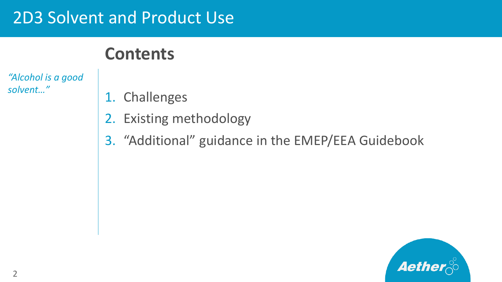#### 2D3 Solvent and Product Use

## **Contents**

*"Alcohol is a good solvent…"*

- 1. Challenges
- 2. Existing methodology
- 3. "Additional" guidance in the EMEP/EEA Guidebook

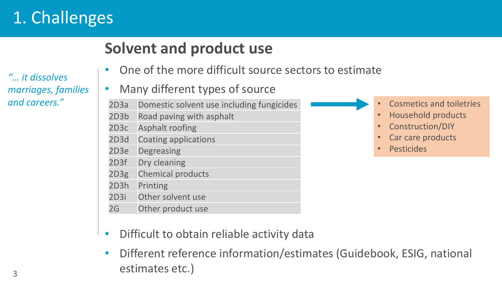# 1. Challenges

*"… it dissolves marriages, families and careers."*

### **Solvent and product use**

• One of the more difficult source sectors to estimate

#### • Many different types of source

- 2D3a Domestic solvent use including fungicides
- 2D3b Road paving with asphalt
- 2D3c Asphalt roofing
- 2D3d Coating applications
- 2D3e Degreasing
- 2D3f Dry cleaning
- 2D3g Chemical products
- 2D3h Printing
- 2D3i Other solvent use
- 2G Other product use
- Difficult to obtain reliable activity data
- Different reference information/estimates (Guidebook, ESIG, national estimates etc.)
- Cosmetics and toiletries
- Household products
- Construction/DIY
- Car care products
- Pesticides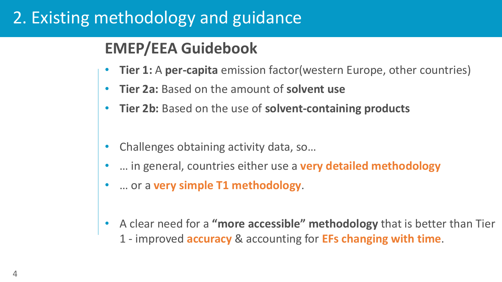## 2. Existing methodology and guidance

#### **EMEP/EEA Guidebook**

- **Tier 1:** A **per-capita** emission factor(western Europe, other countries)
- **Tier 2a:** Based on the amount of **solvent use**
- **Tier 2b:** Based on the use of **solvent-containing products**
- Challenges obtaining activity data, so…
- … in general, countries either use a **very detailed methodology**
- … or a **very simple T1 methodology**.
- A clear need for a **"more accessible" methodology** that is better than Tier 1 - improved **accuracy** & accounting for **EFs changing with time**.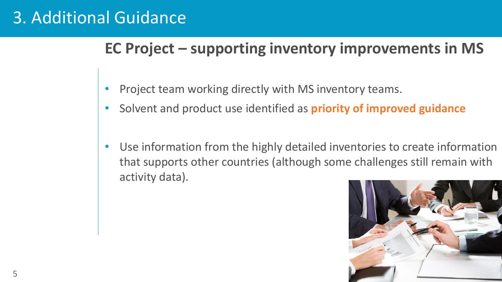#### **EC Project – supporting inventory improvements in MS**

- Project team working directly with MS inventory teams.
- Solvent and product use identified as **priority of improved guidance**
- Use information from the highly detailed inventories to create information that supports other countries (although some challenges still remain with activity data).

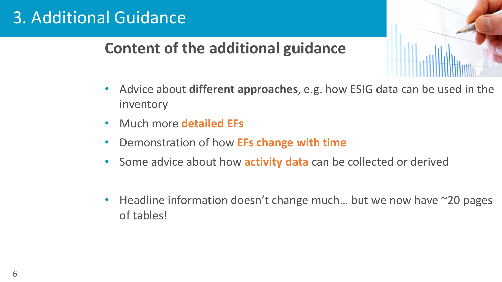#### **Content of the additional guidance**

- Advice about **different approaches**, e.g. how ESIG data can be used in the inventory
- Much more **detailed EFs**
- Demonstration of how **EFs change with time**
- Some advice about how **activity data** can be collected or derived
- Headline information doesn't change much... but we now have  $\sim$ 20 pages of tables!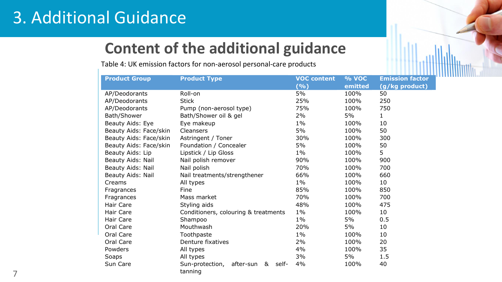#### **Content of the additional guidance**

Table 4: UK emission factors for non-aerosol personal-care products

| <b>Product Group</b>   | <b>Product Type</b>                        | <b>VOC content</b>         | % VOC   | <b>Emission factor</b> |
|------------------------|--------------------------------------------|----------------------------|---------|------------------------|
|                        |                                            | $(\overline{\frac{9}{6}})$ | emitted | (g/kg product)         |
| AP/Deodorants          | Roll-on                                    | 5%                         | 100%    | 50                     |
| AP/Deodorants          | <b>Stick</b>                               | 25%                        | 100%    | 250                    |
| AP/Deodorants          | Pump (non-aerosol type)                    | 75%                        | 100%    | 750                    |
| Bath/Shower            | Bath/Shower oil & gel                      | $2\%$                      | 5%      | $\mathbf 1$            |
| Beauty Aids: Eye       | Eye makeup                                 | $1\%$                      | 100%    | 10                     |
| Beauty Aids: Face/skin | Cleansers                                  | 5%                         | 100%    | 50                     |
| Beauty Aids: Face/skin | Astringent / Toner                         | 30%                        | 100%    | 300                    |
| Beauty Aids: Face/skin | Foundation / Concealer                     | 5%                         | 100%    | 50                     |
| Beauty Aids: Lip       | Lipstick / Lip Gloss                       | $1\%$                      | 100%    | 5                      |
| Beauty Aids: Nail      | Nail polish remover                        | 90%                        | 100%    | 900                    |
| Beauty Aids: Nail      | Nail polish                                | 70%                        | 100%    | 700                    |
| Beauty Aids: Nail      | Nail treatments/strengthener               | 66%                        | 100%    | 660                    |
| Creams                 | All types                                  | $1\%$                      | 100%    | 10                     |
| Fragrances             | Fine                                       | 85%                        | 100%    | 850                    |
| Fragrances             | Mass market                                | 70%                        | 100%    | 700                    |
| <b>Hair Care</b>       | Styling aids                               | 48%                        | 100%    | 475                    |
| Hair Care              | Conditioners, colouring & treatments       | $1\%$                      | 100%    | 10                     |
| <b>Hair Care</b>       | Shampoo                                    | $1\%$                      | 5%      | 0.5                    |
| Oral Care              | Mouthwash                                  | 20%                        | 5%      | 10                     |
| Oral Care              | Toothpaste                                 | $1\%$                      | 100%    | 10                     |
| Oral Care              | Denture fixatives                          | 2%                         | 100%    | 20                     |
| Powders                | All types                                  | 4%                         | 100%    | 35                     |
| Soaps                  | All types                                  | 3%                         | 5%      | 1.5                    |
| Sun Care               | Sun-protection,<br>&<br>self-<br>after-sun | 4%                         | 100%    | 40                     |
|                        | tanning                                    |                            |         |                        |

7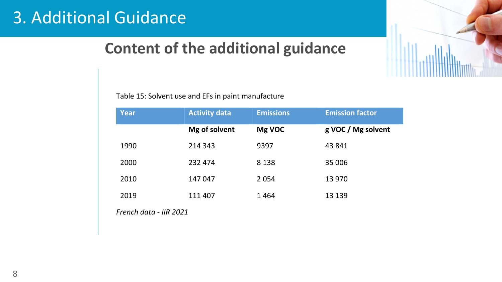#### **Content of the additional guidance**

Table 15: Solvent use and EFs in paint manufacture

| Year | <b>Activity data</b> | <b>Emissions</b> | <b>Emission factor</b> |
|------|----------------------|------------------|------------------------|
|      | Mg of solvent        | Mg VOC           | g VOC / Mg solvent     |
| 1990 | 214 343              | 9397             | 43 841                 |
| 2000 | 232 474              | 8 1 3 8          | 35 006                 |
| 2010 | 147 047              | 2 0 5 4          | 13 970                 |
| 2019 | 111 407              | 1464             | 13 139                 |

*French data - IIR 2021*